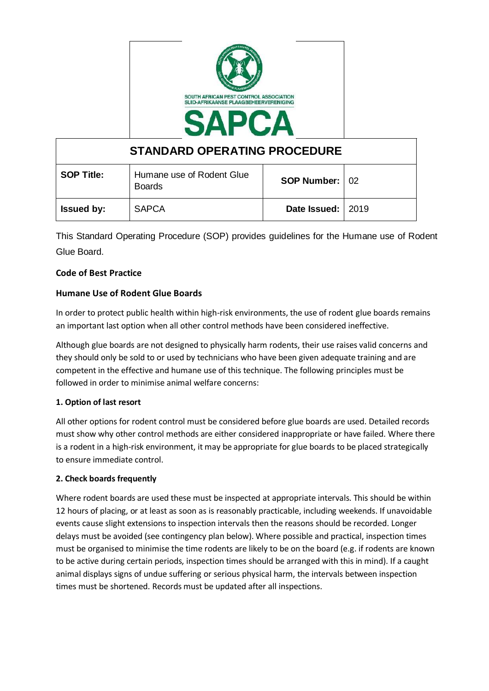

| <b>STANDARD OPERATING PROCEDURE</b> |                                            |                       |  |
|-------------------------------------|--------------------------------------------|-----------------------|--|
| <b>SOP Title:</b>                   | Humane use of Rodent Glue<br><b>Boards</b> | <b>SOP Number: 02</b> |  |
| <b>Issued by:</b>                   | <b>SAPCA</b>                               | Date Issued:   2019   |  |

This Standard Operating Procedure (SOP) provides guidelines for the Humane use of Rodent Glue Board.

# **Code of Best Practice**

# **Humane Use of Rodent Glue Boards**

In order to protect public health within high-risk environments, the use of rodent glue boards remains an important last option when all other control methods have been considered ineffective.

Although glue boards are not designed to physically harm rodents, their use raises valid concerns and they should only be sold to or used by technicians who have been given adequate training and are competent in the effective and humane use of this technique. The following principles must be followed in order to minimise animal welfare concerns:

## **1. Option of last resort**

All other options for rodent control must be considered before glue boards are used. Detailed records must show why other control methods are either considered inappropriate or have failed. Where there is a rodent in a high-risk environment, it may be appropriate for glue boards to be placed strategically to ensure immediate control.

## **2. Check boards frequently**

Where rodent boards are used these must be inspected at appropriate intervals. This should be within 12 hours of placing, or at least as soon as is reasonably practicable, including weekends. If unavoidable events cause slight extensions to inspection intervals then the reasons should be recorded. Longer delays must be avoided (see contingency plan below). Where possible and practical, inspection times must be organised to minimise the time rodents are likely to be on the board (e.g. if rodents are known to be active during certain periods, inspection times should be arranged with this in mind). If a caught animal displays signs of undue suffering or serious physical harm, the intervals between inspection times must be shortened. Records must be updated after all inspections.